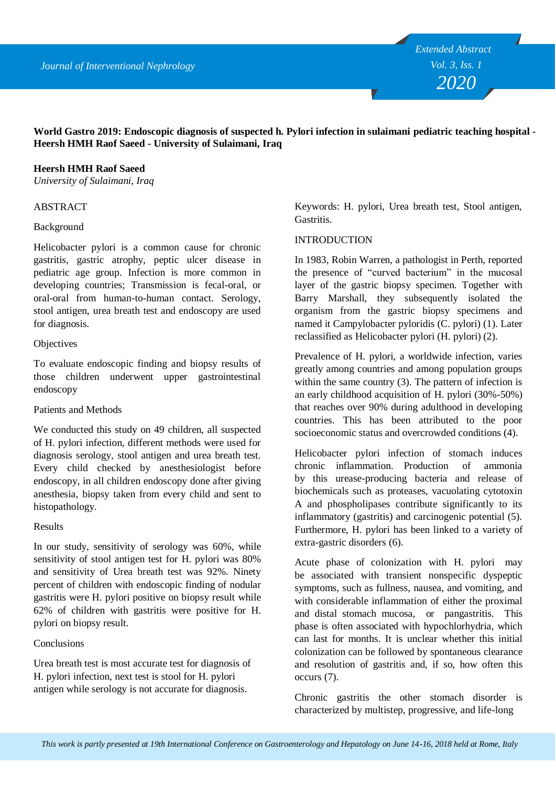**World Gastro 2019: Endoscopic diagnosis of suspected h. Pylori infection in sulaimani pediatric teaching hospital - Heersh HMH Raof Saeed - University of Sulaimani, Iraq**

## **Heersh HMH Raof Saeed**

*University of Sulaimani, Iraq*

## ABSTRACT

### Background

Helicobacter pylori is a common cause for chronic gastritis, gastric atrophy, peptic ulcer disease in pediatric age group. Infection is more common in developing countries; Transmission is fecal-oral, or oral-oral from human-to-human contact. Serology, stool antigen, urea breath test and endoscopy are used for diagnosis.

### **Objectives**

To evaluate endoscopic finding and biopsy results of those children underwent upper gastrointestinal endoscopy

Patients and Methods

We conducted this study on 49 children, all suspected of H. pylori infection, different methods were used for diagnosis serology, stool antigen and urea breath test. Every child checked by anesthesiologist before endoscopy, in all children endoscopy done after giving anesthesia, biopsy taken from every child and sent to histopathology.

## Results

In our study, sensitivity of serology was 60%, while sensitivity of stool antigen test for H. pylori was 80% and sensitivity of Urea breath test was 92%. Ninety percent of children with endoscopic finding of nodular gastritis were H. pylori positive on biopsy result while 62% of children with gastritis were positive for H. pylori on biopsy result.

## Conclusions

Urea breath test is most accurate test for diagnosis of H. pylori infection, next test is stool for H. pylori antigen while serology is not accurate for diagnosis.

Keywords: H. pylori, Urea breath test, Stool antigen, Gastritis.

### **INTRODUCTION**

In 1983, Robin Warren, a pathologist in Perth, reported the presence of "curved bacterium" in the mucosal layer of the gastric biopsy specimen. Together with Barry Marshall, they subsequently isolated the organism from the gastric biopsy specimens and named it Campylobacter pyloridis (C. pylori) (1). Later reclassified as Helicobacter pylori (H. pylori) (2).

Prevalence of H. pylori, a worldwide infection, varies greatly among countries and among population groups within the same country (3). The pattern of infection is an early childhood acquisition of H. pylori (30%-50%) that reaches over 90% during adulthood in developing countries. This has been attributed to the poor socioeconomic status and overcrowded conditions (4).

Helicobacter pylori infection of stomach induces chronic inflammation. Production of ammonia by this urease-producing bacteria and release of biochemicals such as proteases, vacuolating cytotoxin A and phospholipases contribute significantly to its inflammatory (gastritis) and carcinogenic potential (5). Furthermore, H. pylori has been linked to a variety of extra-gastric disorders (6).

Acute phase of colonization with H. pylori may be associated with transient nonspecific dyspeptic symptoms, such as fullness, nausea, and vomiting, and with considerable inflammation of either the proximal and distal stomach mucosa, or pangastritis. This phase is often associated with hypochlorhydria, which can last for months. It is unclear whether this initial colonization can be followed by spontaneous clearance and resolution of gastritis and, if so, how often this occurs (7).

Chronic gastritis the other stomach disorder is characterized by multistep, progressive, and life-long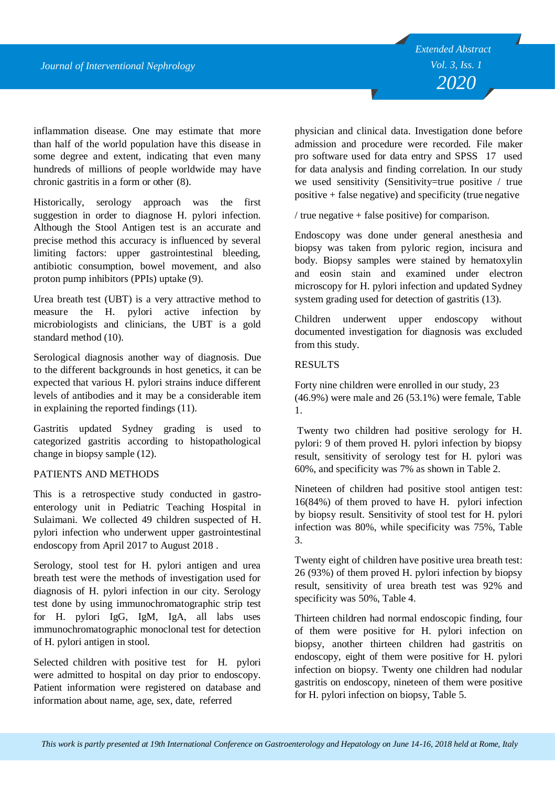inflammation disease. One may estimate that more than half of the world population have this disease in some degree and extent, indicating that even many hundreds of millions of people worldwide may have chronic gastritis in a form or other (8).

Historically, serology approach was the first suggestion in order to diagnose H. pylori infection. Although the Stool Antigen test is an accurate and precise method this accuracy is influenced by several limiting factors: upper gastrointestinal bleeding, antibiotic consumption, bowel movement, and also proton pump inhibitors (PPIs) uptake (9).

Urea breath test (UBT) is a very attractive method to measure the H. pylori active infection by microbiologists and clinicians, the UBT is a gold standard method (10).

Serological diagnosis another way of diagnosis. Due to the different backgrounds in host genetics, it can be expected that various H. pylori strains induce different levels of antibodies and it may be a considerable item in explaining the reported findings (11).

Gastritis updated Sydney grading is used to categorized gastritis according to histopathological change in biopsy sample (12).

## PATIENTS AND METHODS

This is a retrospective study conducted in gastroenterology unit in Pediatric Teaching Hospital in Sulaimani. We collected 49 children suspected of H. pylori infection who underwent upper gastrointestinal endoscopy from April 2017 to August 2018 .

Serology, stool test for H. pylori antigen and urea breath test were the methods of investigation used for diagnosis of H. pylori infection in our city. Serology test done by using immunochromatographic strip test for H. pylori IgG, IgM, IgA, all labs uses immunochromatographic monoclonal test for detection of H. pylori antigen in stool.

Selected children with positive test for H. pylori were admitted to hospital on day prior to endoscopy. Patient information were registered on database and information about name, age, sex, date, referred

physician and clinical data. Investigation done before admission and procedure were recorded. File maker pro software used for data entry and SPSS 17 used for data analysis and finding correlation. In our study we used sensitivity (Sensitivity=true positive / true positive + false negative) and specificity (true negative

/ true negative  $+$  false positive) for comparison.

Endoscopy was done under general anesthesia and biopsy was taken from pyloric region, incisura and body. Biopsy samples were stained by hematoxylin and eosin stain and examined under electron microscopy for H. pylori infection and updated Sydney system grading used for detection of gastritis (13).

Children underwent upper endoscopy without documented investigation for diagnosis was excluded from this study.

# RESULTS

Forty nine children were enrolled in our study, 23 (46.9%) were male and 26 (53.1%) were female, Table 1.

Twenty two children had positive serology for H. pylori: 9 of them proved H. pylori infection by biopsy result, sensitivity of serology test for H. pylori was 60%, and specificity was 7% as shown in Table 2.

Nineteen of children had positive stool antigen test: 16(84%) of them proved to have H. pylori infection by biopsy result. Sensitivity of stool test for H. pylori infection was 80%, while specificity was 75%, Table 3.

Twenty eight of children have positive urea breath test: 26 (93%) of them proved H. pylori infection by biopsy result, sensitivity of urea breath test was 92% and specificity was 50%, Table 4.

Thirteen children had normal endoscopic finding, four of them were positive for H. pylori infection on biopsy, another thirteen children had gastritis on endoscopy, eight of them were positive for H. pylori infection on biopsy. Twenty one children had nodular gastritis on endoscopy, nineteen of them were positive for H. pylori infection on biopsy, Table 5.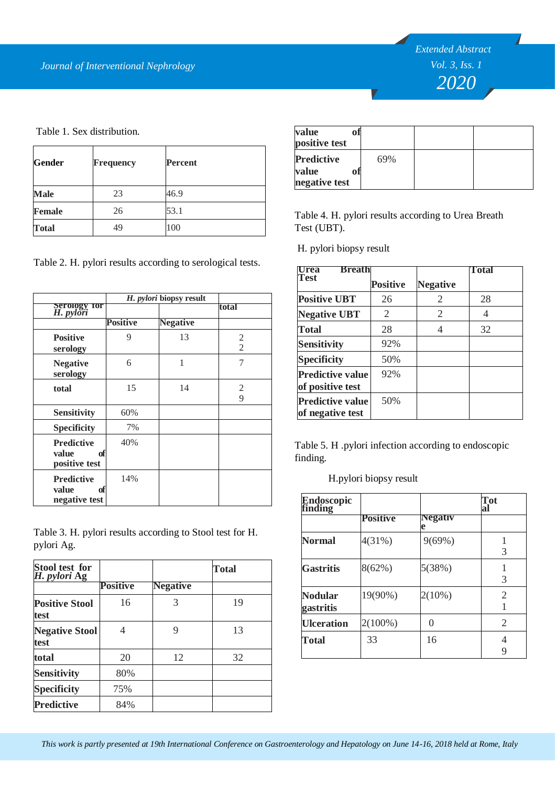*Extended Abstract Vol. 3, Iss. 1 2020*

Table 1. Sex distribution.

|               |                  |         | <b>PUSILIVE LESL</b>                                     |
|---------------|------------------|---------|----------------------------------------------------------|
| Gender        | <b>Frequency</b> | Percent | 69%<br><b>Predictive</b><br>value<br>O1<br>negative test |
| Male          | 23               | 46.9    |                                                          |
| <b>Female</b> | 26               | 53.1    | Table 4. H. pylori results                               |
| <b>Total</b>  | 49               | 100     | Test (UBT).                                              |

Table 2. H. pylori results according to serological tests.

|                                                   | H. pylori biopsy result |                 |                     |
|---------------------------------------------------|-------------------------|-----------------|---------------------|
| <b>Serology for</b><br><i>H. pylori</i>           |                         |                 | total               |
|                                                   | <b>Positive</b>         | <b>Negative</b> |                     |
| <b>Positive</b><br>serology                       | 9                       | 13              | 2<br>$\overline{2}$ |
| <b>Negative</b><br>serology                       | 6                       | 1               | 7                   |
| total                                             | 15                      | 14              | 2<br>9              |
| <b>Sensitivity</b>                                | 60%                     |                 |                     |
| <b>Specificity</b>                                | 7%                      |                 |                     |
| <b>Predictive</b><br>value<br>of<br>positive test | 40%                     |                 |                     |
| <b>Predictive</b><br>value<br>of<br>negative test | 14%                     |                 |                     |

Table 3. H. pylori results according to Stool test for H. pylori Ag.

| Stool test for<br>H. pylori Ag |                 |                 | Total |
|--------------------------------|-----------------|-----------------|-------|
|                                | <b>Positive</b> | <b>Negative</b> |       |
| <b>Positive Stool</b><br>test  | 16              | 3               | 19    |
| <b>Negative Stool</b><br>test  | 4               | 9               | 13    |
| total                          | 20              | 12              | 32    |
| <b>Sensitivity</b>             | 80%             |                 |       |
| <b>Specificity</b>             | 75%             |                 |       |
| <b>Predictive</b>              | 84%             |                 |       |

| value<br>ОĪ<br>positive test                       |     |  |
|----------------------------------------------------|-----|--|
| <b>Predictive</b><br>value<br>ofl<br>negative test | 69% |  |

Table 4. H. pylori results according to Urea Breath Test (UBT).

H. pylori biopsy result

| <b>Breath</b><br><b>Urea</b>                |                 |                 | Total |
|---------------------------------------------|-----------------|-----------------|-------|
| Test                                        | <b>Positive</b> | <b>Negative</b> |       |
| <b>Positive UBT</b>                         | 26              | 2               | 28    |
| <b>Negative UBT</b>                         | 2               | 2               | 4     |
| <b>Total</b>                                | 28              |                 | 32    |
| <b>Sensitivity</b>                          | 92%             |                 |       |
| <b>Specificity</b>                          | 50%             |                 |       |
| <b>Predictive value</b><br>of positive test | 92%             |                 |       |
| <b>Predictive value</b><br>of negative test | 50%             |                 |       |

Table 5. H .pylori infection according to endoscopic finding.

H.pylori biopsy result

| Endoscopic<br>finding |            |                     | Tot<br>al |
|-----------------------|------------|---------------------|-----------|
|                       | Positive   | <b>Negativ</b><br>e |           |
| Normal                | $4(31\%)$  | $9(69\%)$           | 3         |
| <b>Gastritis</b>      | 8(62%)     | 5(38%)              | 3         |
| Nodular<br>gastritis  | 19(90%)    | $2(10\%)$           | 2         |
| <b>Ulceration</b>     | $2(100\%)$ | $\left( \right)$    | 2         |
| Total                 | 33         | 16                  | 4<br>9    |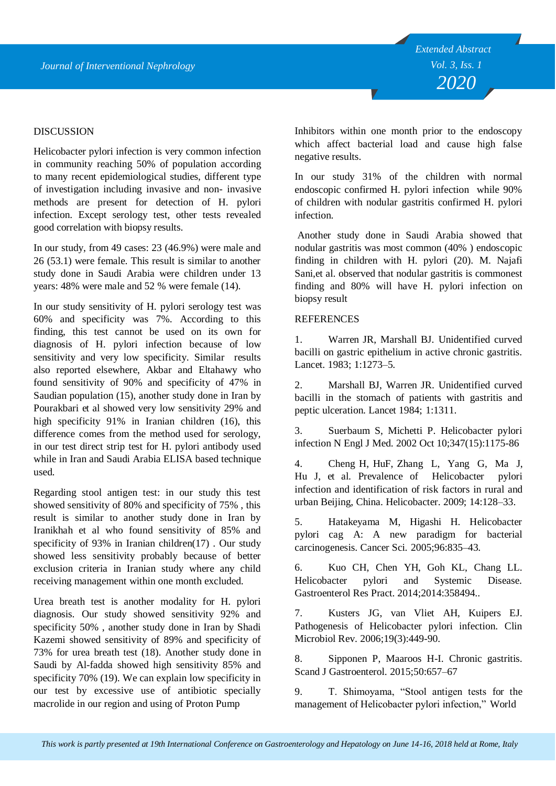### **DISCUSSION**

Helicobacter pylori infection is very common infection in community reaching 50% of population according to many recent epidemiological studies, different type of investigation including invasive and non- invasive methods are present for detection of H. pylori infection. Except serology test, other tests revealed good correlation with biopsy results.

In our study, from 49 cases: 23 (46.9%) were male and 26 (53.1) were female. This result is similar to another study done in Saudi Arabia were children under 13 years: 48% were male and 52 % were female (14).

In our study sensitivity of H. pylori serology test was 60% and specificity was 7%. According to this finding, this test cannot be used on its own for diagnosis of H. pylori infection because of low sensitivity and very low specificity. Similar results also reported elsewhere, Akbar and Eltahawy who found sensitivity of 90% and specificity of 47% in Saudian population (15), another study done in Iran by Pourakbari et al showed very low sensitivity 29% and high specificity 91% in Iranian children (16), this difference comes from the method used for serology, in our test direct strip test for H. pylori antibody used while in Iran and Saudi Arabia ELISA based technique used.

Regarding stool antigen test: in our study this test showed sensitivity of 80% and specificity of 75% , this result is similar to another study done in Iran by Iranikhah et al who found sensitivity of 85% and specificity of 93% in Iranian children( $17$ ). Our study showed less sensitivity probably because of better exclusion criteria in Iranian study where any child receiving management within one month excluded.

Urea breath test is another modality for H. pylori diagnosis. Our study showed sensitivity 92% and specificity 50% , another study done in Iran by Shadi Kazemi showed sensitivity of 89% and specificity of 73% for urea breath test (18). Another study done in Saudi by Al-fadda showed high sensitivity 85% and specificity 70% (19). We can explain low specificity in our test by excessive use of antibiotic specially macrolide in our region and using of Proton Pump

Inhibitors within one month prior to the endoscopy which affect bacterial load and cause high false negative results.

In our study 31% of the children with normal endoscopic confirmed H. pylori infection while 90% of children with nodular gastritis confirmed H. pylori infection.

Another study done in Saudi Arabia showed that nodular gastritis was most common (40% ) endoscopic finding in children with H. pylori (20). M. Najafi Sani,et al. observed that nodular gastritis is commonest finding and 80% will have H. pylori infection on biopsy result

#### **REFERENCES**

1. Warren JR, Marshall BJ. Unidentified curved bacilli on gastric epithelium in active chronic gastritis. Lancet. 1983; 1:1273–5.

2. Marshall BJ, Warren JR. Unidentified curved bacilli in the stomach of patients with gastritis and peptic ulceration. Lancet 1984; 1:1311.

3. Suerbaum S, Michetti P. Helicobacter pylori infection N Engl J Med. 2002 Oct 10;347(15):1175-86

4. Cheng H, HuF, Zhang L, Yang G, Ma J, Hu J, et al. Prevalence of Helicobacter pylori infection and identification of risk factors in rural and urban Beijing, China. Helicobacter. 2009; 14:128–33.

5. Hatakeyama M, Higashi H. Helicobacter pylori cag A: A new paradigm for bacterial carcinogenesis. Cancer Sci. 2005;96:835–43.

6. Kuo CH, Chen YH, Goh KL, Chang LL. Helicobacter pylori and Systemic Disease. Gastroenterol Res Pract. 2014;2014:358494..

7. Kusters JG, van Vliet AH, Kuipers EJ. Pathogenesis of Helicobacter pylori infection. Clin Microbiol Rev. 2006;19(3):449-90.

8. Sipponen P, Maaroos H-I. Chronic gastritis. Scand J Gastroenterol. 2015;50:657–67

9. T. Shimoyama, "Stool antigen tests for the management of Helicobacter pylori infection," World